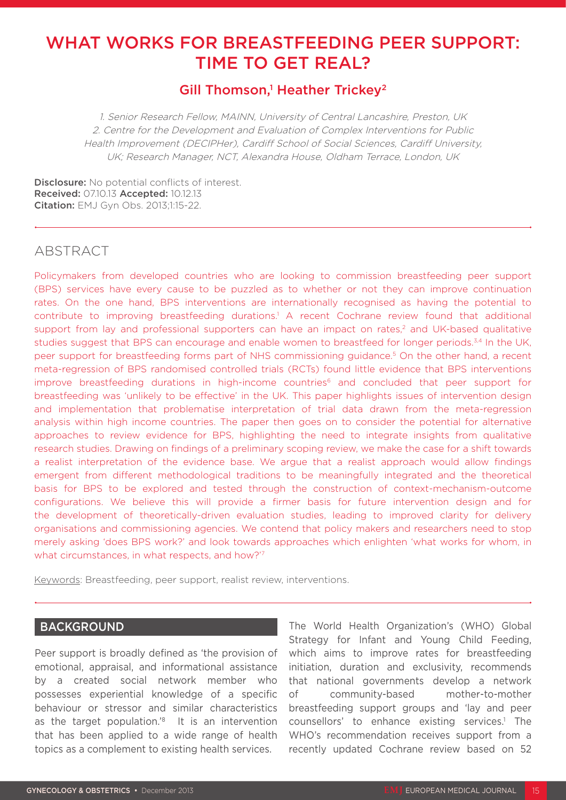# WHAT WORKS FOR BREASTFEEDING PEER SUPPORT: TIME TO GET REAL?

# Gill Thomson,<sup>1</sup> Heather Trickey<sup>2</sup>

1. Senior Research Fellow, MAINN, University of Central Lancashire, Preston, UK 2. Centre for the Development and Evaluation of Complex Interventions for Public Health Improvement (DECIPHer), Cardiff School of Social Sciences, Cardiff University, UK; Research Manager, NCT, Alexandra House, Oldham Terrace, London, UK

Disclosure: No potential conflicts of interest. Received: 07.10.13 Accepted: 10.12.13 Citation: EMJ Gyn Obs. 2013;1:15-22.

# ABSTRACT

Policymakers from developed countries who are looking to commission breastfeeding peer support (BPS) services have every cause to be puzzled as to whether or not they can improve continuation rates. On the one hand, BPS interventions are internationally recognised as having the potential to contribute to improving breastfeeding durations.<sup>1</sup> A recent Cochrane review found that additional support from lay and professional supporters can have an impact on rates,<sup>2</sup> and UK-based qualitative studies suggest that BPS can encourage and enable women to breastfeed for longer periods.<sup>3,4</sup> In the UK, peer support for breastfeeding forms part of NHS commissioning guidance.5 On the other hand, a recent meta-regression of BPS randomised controlled trials (RCTs) found little evidence that BPS interventions improve breastfeeding durations in high-income countries<sup>6</sup> and concluded that peer support for breastfeeding was 'unlikely to be effective' in the UK. This paper highlights issues of intervention design and implementation that problematise interpretation of trial data drawn from the meta-regression analysis within high income countries. The paper then goes on to consider the potential for alternative approaches to review evidence for BPS, highlighting the need to integrate insights from qualitative research studies. Drawing on findings of a preliminary scoping review, we make the case for a shift towards a realist interpretation of the evidence base. We argue that a realist approach would allow findings emergent from different methodological traditions to be meaningfully integrated and the theoretical basis for BPS to be explored and tested through the construction of context-mechanism-outcome configurations. We believe this will provide a firmer basis for future intervention design and for the development of theoretically-driven evaluation studies, leading to improved clarity for delivery organisations and commissioning agencies. We contend that policy makers and researchers need to stop merely asking 'does BPS work?' and look towards approaches which enlighten 'what works for whom, in what circumstances, in what respects, and how?'7

Keywords: Breastfeeding, peer support, realist review, interventions.

#### BACKGROUND

Peer support is broadly defined as 'the provision of emotional, appraisal, and informational assistance by a created social network member who possesses experiential knowledge of a specific behaviour or stressor and similar characteristics as the target population.<sup>'8</sup> It is an intervention that has been applied to a wide range of health topics as a complement to existing health services.

The World Health Organization's (WHO) Global Strategy for Infant and Young Child Feeding, which aims to improve rates for breastfeeding initiation, duration and exclusivity, recommends that national governments develop a network of community-based mother-to-mother breastfeeding support groups and 'lay and peer counsellors' to enhance existing services.<sup>1</sup> The WHO's recommendation receives support from a recently updated Cochrane review based on 52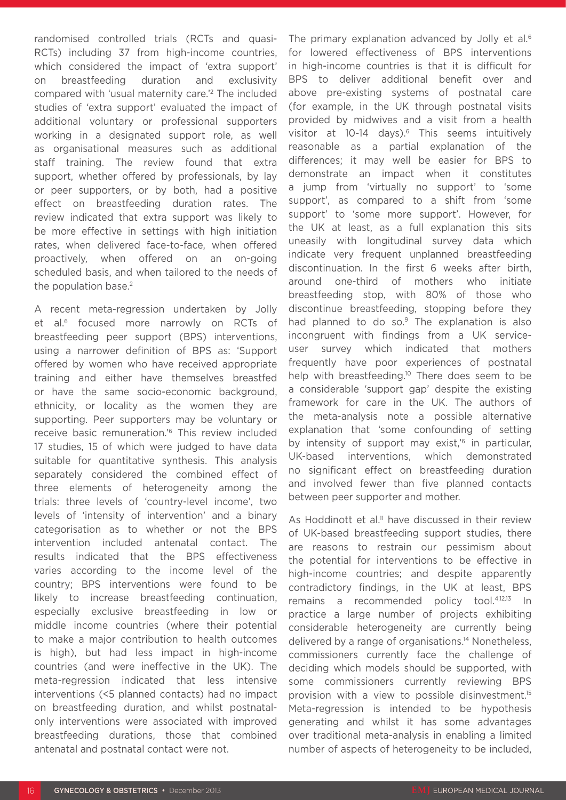randomised controlled trials (RCTs and quasi-RCTs) including 37 from high-income countries, which considered the impact of 'extra support' on breastfeeding duration and exclusivity compared with 'usual maternity care.'2 The included studies of 'extra support' evaluated the impact of additional voluntary or professional supporters working in a designated support role, as well as organisational measures such as additional staff training. The review found that extra support, whether offered by professionals, by lay or peer supporters, or by both, had a positive effect on breastfeeding duration rates. The review indicated that extra support was likely to be more effective in settings with high initiation rates, when delivered face-to-face, when offered proactively, when offered on an on-going scheduled basis, and when tailored to the needs of the population base.<sup>2</sup>

A recent meta-regression undertaken by Jolly et al.<sup>6</sup> focused more narrowly on RCTs of breastfeeding peer support (BPS) interventions, using a narrower definition of BPS as: 'Support offered by women who have received appropriate training and either have themselves breastfed or have the same socio-economic background, ethnicity, or locality as the women they are supporting. Peer supporters may be voluntary or receive basic remuneration.'6 This review included 17 studies, 15 of which were judged to have data suitable for quantitative synthesis. This analysis separately considered the combined effect of three elements of heterogeneity among the trials: three levels of 'country-level income', two levels of 'intensity of intervention' and a binary categorisation as to whether or not the BPS intervention included antenatal contact. The results indicated that the BPS effectiveness varies according to the income level of the country; BPS interventions were found to be likely to increase breastfeeding continuation, especially exclusive breastfeeding in low or middle income countries (where their potential to make a major contribution to health outcomes is high), but had less impact in high-income countries (and were ineffective in the UK). The meta-regression indicated that less intensive interventions (<5 planned contacts) had no impact on breastfeeding duration, and whilst postnatalonly interventions were associated with improved breastfeeding durations, those that combined antenatal and postnatal contact were not.

The primary explanation advanced by Jolly et al.<sup>6</sup> for lowered effectiveness of BPS interventions in high-income countries is that it is difficult for BPS to deliver additional benefit over and above pre-existing systems of postnatal care (for example, in the UK through postnatal visits provided by midwives and a visit from a health visitor at 10-14 days).<sup>6</sup> This seems intuitively reasonable as a partial explanation of the differences; it may well be easier for BPS to demonstrate an impact when it constitutes a jump from 'virtually no support' to 'some support', as compared to a shift from 'some support' to 'some more support'. However, for the UK at least, as a full explanation this sits uneasily with longitudinal survey data which indicate very frequent unplanned breastfeeding discontinuation. In the first 6 weeks after birth, around one-third of mothers who initiate breastfeeding stop, with 80% of those who discontinue breastfeeding, stopping before they had planned to do so.<sup>9</sup> The explanation is also incongruent with findings from a UK serviceuser survey which indicated that mothers frequently have poor experiences of postnatal help with breastfeeding.<sup>10</sup> There does seem to be a considerable 'support gap' despite the existing framework for care in the UK. The authors of the meta-analysis note a possible alternative explanation that 'some confounding of setting by intensity of support may exist,<sup>'6</sup> in particular, UK-based interventions, which demonstrated no significant effect on breastfeeding duration and involved fewer than five planned contacts between peer supporter and mother.

As Hoddinott et al.<sup>11</sup> have discussed in their review of UK-based breastfeeding support studies, there are reasons to restrain our pessimism about the potential for interventions to be effective in high-income countries; and despite apparently contradictory findings, in the UK at least, BPS remains a recommended policy tool.4,12,13 In practice a large number of projects exhibiting considerable heterogeneity are currently being delivered by a range of organisations.14 Nonetheless, commissioners currently face the challenge of deciding which models should be supported, with some commissioners currently reviewing BPS provision with a view to possible disinvestment.15 Meta-regression is intended to be hypothesis generating and whilst it has some advantages over traditional meta-analysis in enabling a limited number of aspects of heterogeneity to be included,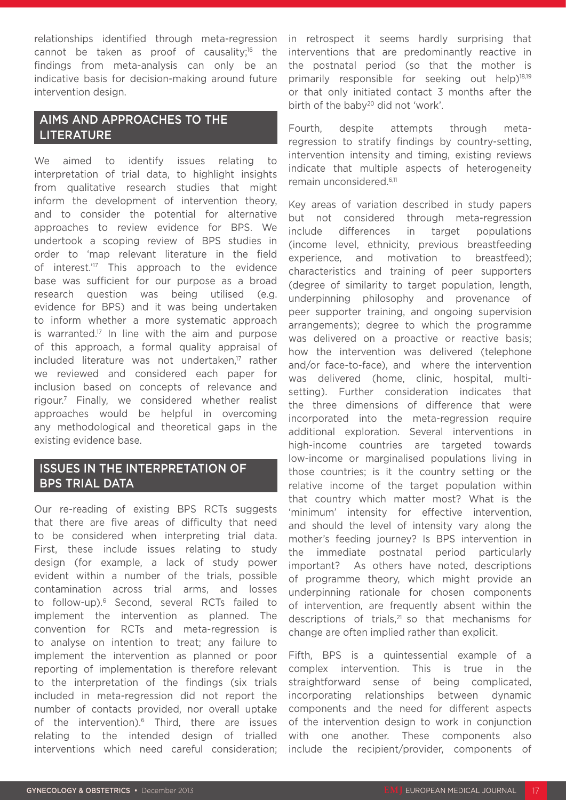relationships identified through meta-regression cannot be taken as proof of causality;<sup>16</sup> the findings from meta-analysis can only be an indicative basis for decision-making around future intervention design.

## AIMS AND APPROACHES TO THE LITERATURE

We aimed to identify issues relating to interpretation of trial data, to highlight insights from qualitative research studies that might inform the development of intervention theory, and to consider the potential for alternative approaches to review evidence for BPS. We undertook a scoping review of BPS studies in order to 'map relevant literature in the field of interest.<sup>'17</sup> This approach to the evidence base was sufficient for our purpose as a broad research question was being utilised (e.g. evidence for BPS) and it was being undertaken to inform whether a more systematic approach is warranted.<sup>17</sup> In line with the aim and purpose of this approach, a formal quality appraisal of included literature was not undertaken,<sup>17</sup> rather we reviewed and considered each paper for inclusion based on concepts of relevance and rigour.7 Finally, we considered whether realist approaches would be helpful in overcoming any methodological and theoretical gaps in the existing evidence base.

### ISSUES IN THE INTERPRETATION OF BPS TRIAL DATA

Our re-reading of existing BPS RCTs suggests that there are five areas of difficulty that need to be considered when interpreting trial data. First, these include issues relating to study design (for example, a lack of study power evident within a number of the trials, possible contamination across trial arms, and losses to follow-up).6 Second, several RCTs failed to implement the intervention as planned. The convention for RCTs and meta-regression is to analyse on intention to treat; any failure to implement the intervention as planned or poor reporting of implementation is therefore relevant to the interpretation of the findings (six trials included in meta-regression did not report the number of contacts provided, nor overall uptake of the intervention).<sup>6</sup> Third, there are issues relating to the intended design of trialled interventions which need careful consideration;

in retrospect it seems hardly surprising that interventions that are predominantly reactive in the postnatal period (so that the mother is primarily responsible for seeking out help)18,19 or that only initiated contact 3 months after the birth of the baby<sup>20</sup> did not 'work'.

Fourth, despite attempts through metaregression to stratify findings by country-setting, intervention intensity and timing, existing reviews indicate that multiple aspects of heterogeneity remain unconsidered.6,11

Key areas of variation described in study papers but not considered through meta-regression include differences in target populations (income level, ethnicity, previous breastfeeding experience, and motivation to breastfeed); characteristics and training of peer supporters (degree of similarity to target population, length, underpinning philosophy and provenance of peer supporter training, and ongoing supervision arrangements); degree to which the programme was delivered on a proactive or reactive basis; how the intervention was delivered (telephone and/or face-to-face), and where the intervention was delivered (home, clinic, hospital, multisetting). Further consideration indicates that the three dimensions of difference that were incorporated into the meta-regression require additional exploration. Several interventions in high-income countries are targeted towards low-income or marginalised populations living in those countries; is it the country setting or the relative income of the target population within that country which matter most? What is the 'minimum' intensity for effective intervention, and should the level of intensity vary along the mother's feeding journey? Is BPS intervention in the immediate postnatal period particularly important? As others have noted, descriptions of programme theory, which might provide an underpinning rationale for chosen components of intervention, are frequently absent within the descriptions of trials,<sup>21</sup> so that mechanisms for change are often implied rather than explicit.

Fifth, BPS is a quintessential example of a complex intervention. This is true in the straightforward sense of being complicated, incorporating relationships between dynamic components and the need for different aspects of the intervention design to work in conjunction with one another. These components also include the recipient/provider, components of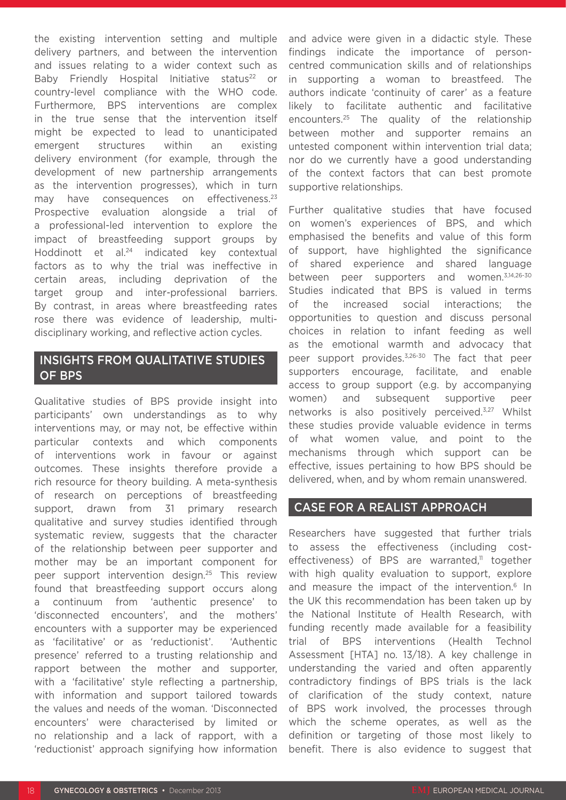the existing intervention setting and multiple delivery partners, and between the intervention and issues relating to a wider context such as Baby Friendly Hospital Initiative status<sup>22</sup> or country-level compliance with the WHO code. Furthermore, BPS interventions are complex in the true sense that the intervention itself might be expected to lead to unanticipated emergent structures within an existing delivery environment (for example, through the development of new partnership arrangements as the intervention progresses), which in turn may have consequences on effectiveness.<sup>23</sup> Prospective evaluation alongside a trial of a professional-led intervention to explore the impact of breastfeeding support groups by Hoddinott et al.<sup>24</sup> indicated key contextual factors as to why the trial was ineffective in certain areas, including deprivation of the target group and inter-professional barriers. By contrast, in areas where breastfeeding rates rose there was evidence of leadership, multidisciplinary working, and reflective action cycles.

## INSIGHTS FROM QUALITATIVE STUDIES OF BPS

Qualitative studies of BPS provide insight into participants' own understandings as to why interventions may, or may not, be effective within particular contexts and which components of interventions work in favour or against outcomes. These insights therefore provide a rich resource for theory building. A meta-synthesis of research on perceptions of breastfeeding support, drawn from 31 primary research qualitative and survey studies identified through systematic review, suggests that the character of the relationship between peer supporter and mother may be an important component for peer support intervention design.25 This review found that breastfeeding support occurs along a continuum from 'authentic presence' to 'disconnected encounters', and the mothers' encounters with a supporter may be experienced as 'facilitative' or as 'reductionist'. 'Authentic presence' referred to a trusting relationship and rapport between the mother and supporter, with a 'facilitative' style reflecting a partnership. with information and support tailored towards the values and needs of the woman. 'Disconnected encounters' were characterised by limited or no relationship and a lack of rapport, with a 'reductionist' approach signifying how information

and advice were given in a didactic style. These findings indicate the importance of personcentred communication skills and of relationships in supporting a woman to breastfeed. The authors indicate 'continuity of carer' as a feature likely to facilitate authentic and facilitative encounters.25 The quality of the relationship between mother and supporter remains an untested component within intervention trial data; nor do we currently have a good understanding of the context factors that can best promote supportive relationships.

Further qualitative studies that have focused on women's experiences of BPS, and which emphasised the benefits and value of this form of support, have highlighted the significance of shared experience and shared language between peer supporters and women.3,14,26-30 Studies indicated that BPS is valued in terms of the increased social interactions; the opportunities to question and discuss personal choices in relation to infant feeding as well as the emotional warmth and advocacy that peer support provides.3,26-30 The fact that peer supporters encourage, facilitate, and enable access to group support (e.g. by accompanying women) and subsequent supportive peer networks is also positively perceived.3,27 Whilst these studies provide valuable evidence in terms of what women value, and point to the mechanisms through which support can be effective, issues pertaining to how BPS should be delivered, when, and by whom remain unanswered.

#### CASE FOR A REALIST APPROACH

Researchers have suggested that further trials to assess the effectiveness (including costeffectiveness) of BPS are warranted, $11$  together with high quality evaluation to support, explore and measure the impact of the intervention.<sup>6</sup> In the UK this recommendation has been taken up by the National Institute of Health Research, with funding recently made available for a feasibility trial of BPS interventions (Health Technol Assessment [HTA] no. 13/18). A key challenge in understanding the varied and often apparently contradictory findings of BPS trials is the lack of clarification of the study context, nature of BPS work involved, the processes through which the scheme operates, as well as the definition or targeting of those most likely to benefit. There is also evidence to suggest that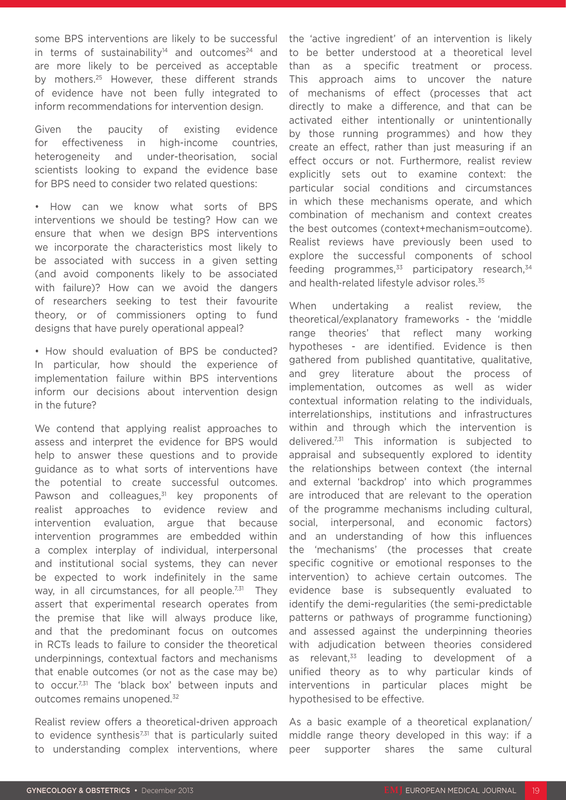some BPS interventions are likely to be successful in terms of sustainability<sup>14</sup> and outcomes<sup>24</sup> and are more likely to be perceived as acceptable by mothers.25 However, these different strands of evidence have not been fully integrated to inform recommendations for intervention design.

Given the paucity of existing evidence for effectiveness in high-income countries, heterogeneity and under-theorisation, social scientists looking to expand the evidence base for BPS need to consider two related questions:

• How can we know what sorts of BPS interventions we should be testing? How can we ensure that when we design BPS interventions we incorporate the characteristics most likely to be associated with success in a given setting (and avoid components likely to be associated with failure)? How can we avoid the dangers of researchers seeking to test their favourite theory, or of commissioners opting to fund designs that have purely operational appeal?

• How should evaluation of BPS be conducted? In particular, how should the experience of implementation failure within BPS interventions inform our decisions about intervention design in the future?

We contend that applying realist approaches to assess and interpret the evidence for BPS would help to answer these questions and to provide guidance as to what sorts of interventions have the potential to create successful outcomes. Pawson and colleagues. $31$  key proponents of realist approaches to evidence review and intervention evaluation, argue that because intervention programmes are embedded within a complex interplay of individual, interpersonal and institutional social systems, they can never be expected to work indefinitely in the same way, in all circumstances, for all people.<sup>7,31</sup> They assert that experimental research operates from the premise that like will always produce like, and that the predominant focus on outcomes in RCTs leads to failure to consider the theoretical underpinnings, contextual factors and mechanisms that enable outcomes (or not as the case may be) to occur.<sup>7,31</sup> The 'black box' between inputs and outcomes remains unopened.32

Realist review offers a theoretical-driven approach to evidence synthesis<sup>7,31</sup> that is particularly suited to understanding complex interventions, where

the 'active ingredient' of an intervention is likely to be better understood at a theoretical level than as a specific treatment or process. This approach aims to uncover the nature of mechanisms of effect (processes that act directly to make a difference, and that can be activated either intentionally or unintentionally by those running programmes) and how they create an effect, rather than just measuring if an effect occurs or not. Furthermore, realist review explicitly sets out to examine context: the particular social conditions and circumstances in which these mechanisms operate, and which combination of mechanism and context creates the best outcomes (context+mechanism=outcome). Realist reviews have previously been used to explore the successful components of school feeding programmes, $33$  participatory research, $34$ and health-related lifestyle advisor roles.<sup>35</sup>

When undertaking a realist review, the theoretical/explanatory frameworks - the 'middle range theories' that reflect many working hypotheses - are identified. Evidence is then gathered from published quantitative, qualitative, and grey literature about the process of implementation, outcomes as well as wider contextual information relating to the individuals, interrelationships, institutions and infrastructures within and through which the intervention is delivered.7,31 This information is subjected to appraisal and subsequently explored to identity the relationships between context (the internal and external 'backdrop' into which programmes are introduced that are relevant to the operation of the programme mechanisms including cultural, social, interpersonal, and economic factors) and an understanding of how this influences the 'mechanisms' (the processes that create specific cognitive or emotional responses to the intervention) to achieve certain outcomes. The evidence base is subsequently evaluated to identify the demi-regularities (the semi-predictable patterns or pathways of programme functioning) and assessed against the underpinning theories with adjudication between theories considered as relevant, $33$  leading to development of a unified theory as to why particular kinds of interventions in particular places might be hypothesised to be effective.

As a basic example of a theoretical explanation/ middle range theory developed in this way: if a peer supporter shares the same cultural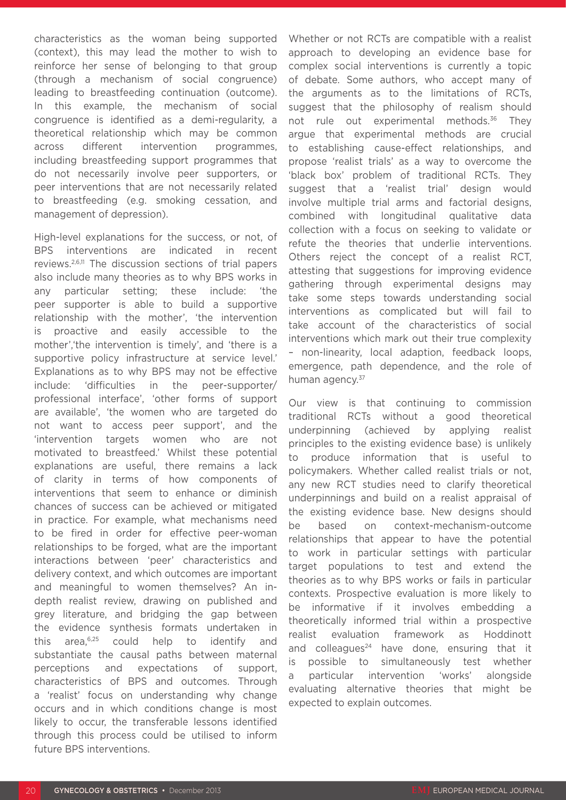characteristics as the woman being supported (context), this may lead the mother to wish to reinforce her sense of belonging to that group (through a mechanism of social congruence) leading to breastfeeding continuation (outcome). In this example, the mechanism of social congruence is identified as a demi-regularity, a theoretical relationship which may be common across different intervention programmes, including breastfeeding support programmes that do not necessarily involve peer supporters, or peer interventions that are not necessarily related to breastfeeding (e.g. smoking cessation, and management of depression).

High-level explanations for the success, or not, of BPS interventions are indicated in recent reviews.2,6,11 The discussion sections of trial papers also include many theories as to why BPS works in any particular setting; these include: 'the peer supporter is able to build a supportive relationship with the mother', 'the intervention is proactive and easily accessible to the mother','the intervention is timely', and 'there is a supportive policy infrastructure at service level.' Explanations as to why BPS may not be effective include: 'difficulties in the peer-supporter/ professional interface', 'other forms of support are available', 'the women who are targeted do not want to access peer support', and the 'intervention targets women who are not motivated to breastfeed.' Whilst these potential explanations are useful, there remains a lack of clarity in terms of how components of interventions that seem to enhance or diminish chances of success can be achieved or mitigated in practice. For example, what mechanisms need to be fired in order for effective peer-woman relationships to be forged, what are the important interactions between 'peer' characteristics and delivery context, and which outcomes are important and meaningful to women themselves? An indepth realist review, drawing on published and grey literature, and bridging the gap between the evidence synthesis formats undertaken in this area,6,25 could help to identify and substantiate the causal paths between maternal perceptions and expectations of support, characteristics of BPS and outcomes. Through a 'realist' focus on understanding why change occurs and in which conditions change is most likely to occur, the transferable lessons identified through this process could be utilised to inform future BPS interventions.

Whether or not RCTs are compatible with a realist approach to developing an evidence base for complex social interventions is currently a topic of debate. Some authors, who accept many of the arguments as to the limitations of RCTs, suggest that the philosophy of realism should not rule out experimental methods.<sup>36</sup> They argue that experimental methods are crucial to establishing cause-effect relationships, and propose 'realist trials' as a way to overcome the 'black box' problem of traditional RCTs. They suggest that a 'realist trial' design would involve multiple trial arms and factorial designs, combined with longitudinal qualitative data collection with a focus on seeking to validate or refute the theories that underlie interventions. Others reject the concept of a realist RCT, attesting that suggestions for improving evidence gathering through experimental designs may take some steps towards understanding social interventions as complicated but will fail to take account of the characteristics of social interventions which mark out their true complexity – non-linearity, local adaption, feedback loops, emergence, path dependence, and the role of human agency.<sup>37</sup>

Our view is that continuing to commission traditional RCTs without a good theoretical underpinning (achieved by applying realist principles to the existing evidence base) is unlikely to produce information that is useful to policymakers. Whether called realist trials or not, any new RCT studies need to clarify theoretical underpinnings and build on a realist appraisal of the existing evidence base. New designs should be based on context-mechanism-outcome relationships that appear to have the potential to work in particular settings with particular target populations to test and extend the theories as to why BPS works or fails in particular contexts. Prospective evaluation is more likely to be informative if it involves embedding a theoretically informed trial within a prospective realist evaluation framework as Hoddinott and colleagues<sup>24</sup> have done, ensuring that it is possible to simultaneously test whether a particular intervention 'works' alongside evaluating alternative theories that might be expected to explain outcomes.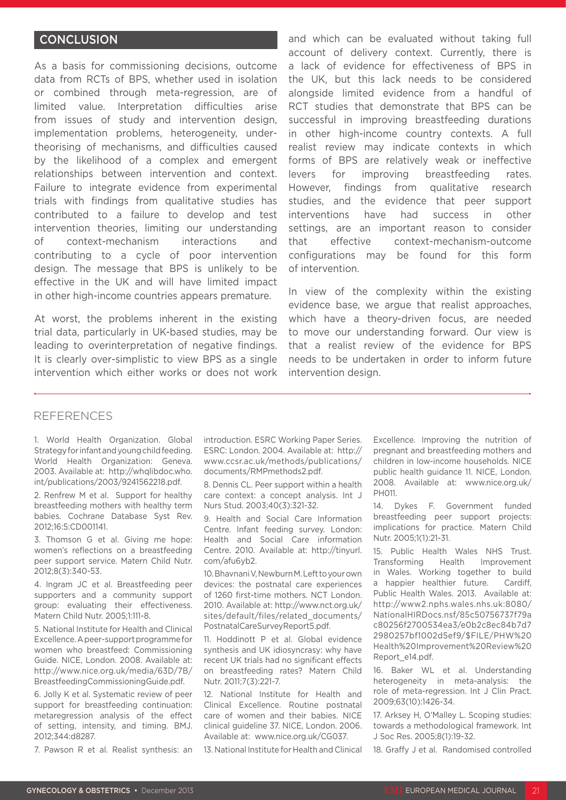#### **CONCLUSION**

As a basis for commissioning decisions, outcome data from RCTs of BPS, whether used in isolation or combined through meta-regression, are of limited value. Interpretation difficulties arise from issues of study and intervention design, implementation problems, heterogeneity, undertheorising of mechanisms, and difficulties caused by the likelihood of a complex and emergent relationships between intervention and context. Failure to integrate evidence from experimental trials with findings from qualitative studies has contributed to a failure to develop and test intervention theories, limiting our understanding of context-mechanism interactions and contributing to a cycle of poor intervention design. The message that BPS is unlikely to be effective in the UK and will have limited impact in other high-income countries appears premature.

At worst, the problems inherent in the existing trial data, particularly in UK-based studies, may be leading to overinterpretation of negative findings. It is clearly over-simplistic to view BPS as a single intervention which either works or does not work

and which can be evaluated without taking full account of delivery context. Currently, there is a lack of evidence for effectiveness of BPS in the UK, but this lack needs to be considered alongside limited evidence from a handful of RCT studies that demonstrate that BPS can be successful in improving breastfeeding durations in other high-income country contexts. A full realist review may indicate contexts in which forms of BPS are relatively weak or ineffective levers for improving breastfeeding rates. However, findings from qualitative research studies, and the evidence that peer support interventions have had success in other settings, are an important reason to consider that effective context-mechanism-outcome configurations may be found for this form of intervention.

In view of the complexity within the existing evidence base, we argue that realist approaches, which have a theory-driven focus, are needed to move our understanding forward. Our view is that a realist review of the evidence for BPS needs to be undertaken in order to inform future intervention design.

#### REFERENCES

1. World Health Organization. Global Strategy for infant and young child feeding. World Health Organization: Geneva. 2003. Available at: http://whqlibdoc.who. int/publications/2003/9241562218.pdf.

2. Renfrew M et al. Support for healthy breastfeeding mothers with healthy term babies. Cochrane Database Syst Rev. 2012;16:5:CD001141.

3. Thomson G et al. Giving me hope: women's reflections on a breastfeeding peer support service. Matern Child Nutr. 2012;8(3):340-53.

4. Ingram JC et al. Breastfeeding peer supporters and a community support group: evaluating their effectiveness. Matern Child Nutr. 2005;1:111-8.

5. National Institute for Health and Clinical Excellence. A peer-support programme for women who breastfeed: Commissioning Guide. NICE, London. 2008. Available at: http://www.nice.org.uk/media/63D/7B/ BreastfeedingCommissioningGuide.pdf.

6. Jolly K et al. Systematic review of peer support for breastfeeding continuation: metaregression analysis of the effect of setting, intensity, and timing. BMJ. 2012;344:d8287.

7. Pawson R et al. Realist synthesis: an

introduction. ESRC Working Paper Series. ESRC: London. 2004. Available at: http:// www.ccsr.ac.uk/methods/publications/ documents/RMPmethods2.pdf.

8. Dennis CL. Peer support within a health care context: a concept analysis. Int J Nurs Stud. 2003;40(3):321-32.

9. Health and Social Care Information Centre. Infant feeding survey. London: Health and Social Care information Centre. 2010. Available at: http://tinyurl. com/afu6yb2.

10. Bhavnani V, Newburn M. Left to your own devices: the postnatal care experiences of 1260 first-time mothers. NCT London. 2010. Available at: http://www.nct.org.uk/ sites/default/files/related\_documents/ PostnatalCareSurveyReport5.pdf.

11. Hoddinott P et al. Global evidence synthesis and UK idiosyncrasy: why have recent UK trials had no significant effects on breastfeeding rates? Matern Child Nutr. 2011;7(3):221-7.

12. National Institute for Health and Clinical Excellence. Routine postnatal care of women and their babies. NICE clinical guideline 37. NICE, London. 2006. Available at: www.nice.org.uk/CG037.

13. National Institute for Health and Clinical

Excellence. Improving the nutrition of pregnant and breastfeeding mothers and children in low-income households. NICE public health guidance 11. NICE, London. 2008. Available at: www.nice.org.uk/ PH011.

14. Dykes F. Government funded breastfeeding peer support projects: implications for practice. Matern Child Nutr. 2005;1(1):21-31.

15. Public Health Wales NHS Trust. Transforming Health Improvement in Wales. Working together to build a happier healthier future. Cardiff, Public Health Wales. 2013. Available at: http://www2.nphs.wales.nhs.uk:8080/ NationalHIRDocs.nsf/85c50756737f79a c80256f2700534ea3/e0b2c8ec84b7d7 2980257bf1002d5ef9/\$FILE/PHW%20 Health%20Improvement%20Review%20 Report\_e14.pdf.

16. Baker WL et al. Understanding heterogeneity in meta-analysis: the role of meta-regression. Int J Clin Pract. 2009;63(10):1426-34.

17. Arksey H, O'Malley L. Scoping studies: towards a methodological framework. Int J Soc Res. 2005;8(1):19-32.

18. Graffy J et al. Randomised controlled